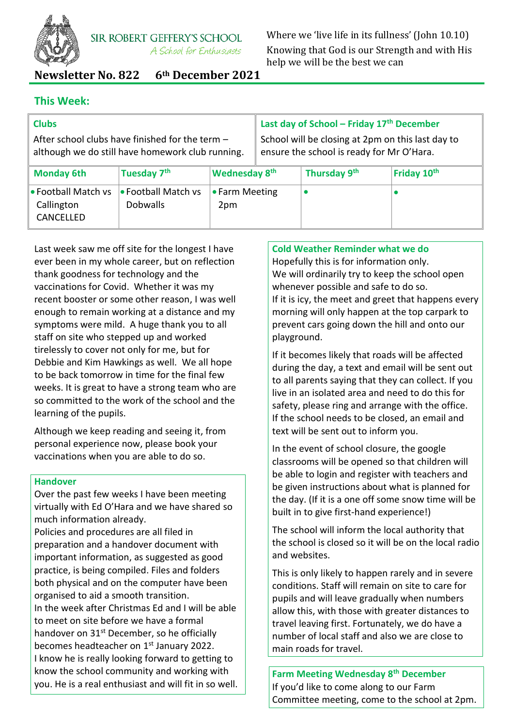

Where we 'live life in its fullness' (John 10.10) Knowing that God is our Strength and with His help we will be the best we can

**Newsletter No. 822 6th December 2021**

# **This Week:**

CANCELLED

| <b>Clubs</b>                                                                                        |                                               |                           | Last day of School - Friday 17th December                                                      |              |             |
|-----------------------------------------------------------------------------------------------------|-----------------------------------------------|---------------------------|------------------------------------------------------------------------------------------------|--------------|-------------|
| After school clubs have finished for the term -<br>although we do still have homework club running. |                                               |                           | School will be closing at 2pm on this last day to<br>ensure the school is ready for Mr O'Hara. |              |             |
| <b>Monday 6th</b>                                                                                   | Tuesday 7th                                   | Wednesday 8 <sup>th</sup> |                                                                                                | Thursday 9th | Friday 10th |
| • Football Match vs<br>Callington                                                                   | <b>• Football Match vs</b><br><b>Dobwalls</b> | • Farm Meeting<br>2pm     |                                                                                                |              |             |

Last week saw me off site for the longest I have ever been in my whole career, but on reflection thank goodness for technology and the vaccinations for Covid. Whether it was my recent booster or some other reason, I was well enough to remain working at a distance and my symptoms were mild. A huge thank you to all staff on site who stepped up and worked tirelessly to cover not only for me, but for Debbie and Kim Hawkings as well. We all hope to be back tomorrow in time for the final few weeks. It is great to have a strong team who are so committed to the work of the school and the learning of the pupils.

Although we keep reading and seeing it, from personal experience now, please book your vaccinations when you are able to do so.

# **Handover**

Over the past few weeks I have been meeting virtually with Ed O'Hara and we have shared so much information already.

Policies and procedures are all filed in preparation and a handover document with important information, as suggested as good practice, is being compiled. Files and folders both physical and on the computer have been organised to aid a smooth transition. In the week after Christmas Ed and I will be able to meet on site before we have a formal handover on 31<sup>st</sup> December, so he officially becomes headteacher on 1<sup>st</sup> January 2022. I know he is really looking forward to getting to know the school community and working with you. He is a real enthusiast and will fit in so well.

# **Cold Weather Reminder what we do**

Hopefully this is for information only. We will ordinarily try to keep the school open whenever possible and safe to do so. If it is icy, the meet and greet that happens every morning will only happen at the top carpark to prevent cars going down the hill and onto our playground.

If it becomes likely that roads will be affected during the day, a text and email will be sent out to all parents saying that they can collect. If you live in an isolated area and need to do this for safety, please ring and arrange with the office. If the school needs to be closed, an email and text will be sent out to inform you.

In the event of school closure, the google classrooms will be opened so that children will be able to login and register with teachers and be given instructions about what is planned for the day. (If it is a one off some snow time will be built in to give first-hand experience!)

The school will inform the local authority that the school is closed so it will be on the local radio and websites.

This is only likely to happen rarely and in severe conditions. Staff will remain on site to care for pupils and will leave gradually when numbers allow this, with those with greater distances to travel leaving first. Fortunately, we do have a number of local staff and also we are close to main roads for travel.

**Farm Meeting Wednesday 8th December** If you'd like to come along to our Farm Committee meeting, come to the school at 2pm.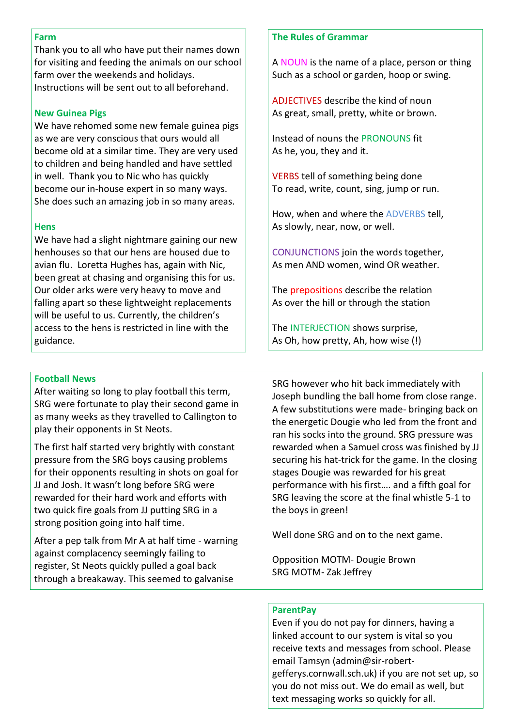#### **Farm**

Thank you to all who have put their names down for visiting and feeding the animals on our school farm over the weekends and holidays. Instructions will be sent out to all beforehand.

### **New Guinea Pigs**

We have rehomed some new female guinea pigs as we are very conscious that ours would all become old at a similar time. They are very used to children and being handled and have settled in well. Thank you to Nic who has quickly become our in-house expert in so many ways. She does such an amazing job in so many areas.

### **Hens**

We have had a slight nightmare gaining our new henhouses so that our hens are housed due to avian flu. Loretta Hughes has, again with Nic, been great at chasing and organising this for us. Our older arks were very heavy to move and falling apart so these lightweight replacements will be useful to us. Currently, the children's access to the hens is restricted in line with the guidance.

### **The Rules of Grammar**

A NOUN is the name of a place, person or thing Such as a school or garden, hoop or swing.

ADJECTIVES describe the kind of noun As great, small, pretty, white or brown.

Instead of nouns the PRONOUNS fit As he, you, they and it.

VERBS tell of something being done To read, write, count, sing, jump or run.

How, when and where the ADVERBS tell, As slowly, near, now, or well.

CONJUNCTIONS join the words together, As men AND women, wind OR weather.

The **prepositions** describe the relation As over the hill or through the station

The INTERJECTION shows surprise, As Oh, how pretty, Ah, how wise (!)

#### **Football News**

After waiting so long to play football this term, SRG were fortunate to play their second game in as many weeks as they travelled to Callington to play their opponents in St Neots.

The first half started very brightly with constant pressure from the SRG boys causing problems for their opponents resulting in shots on goal for JJ and Josh. It wasn't long before SRG were rewarded for their hard work and efforts with two quick fire goals from JJ putting SRG in a strong position going into half time.

After a pep talk from Mr A at half time - warning against complacency seemingly failing to register, St Neots quickly pulled a goal back through a breakaway. This seemed to galvanise

SRG however who hit back immediately with Joseph bundling the ball home from close range. A few substitutions were made- bringing back on the energetic Dougie who led from the front and ran his socks into the ground. SRG pressure was rewarded when a Samuel cross was finished by JJ securing his hat-trick for the game. In the closing stages Dougie was rewarded for his great performance with his first…. and a fifth goal for SRG leaving the score at the final whistle 5-1 to the boys in green!

Well done SRG and on to the next game.

Opposition MOTM- Dougie Brown SRG MOTM- Zak Jeffrey

#### **ParentPay**

Even if you do not pay for dinners, having a linked account to our system is vital so you receive texts and messages from school. Please email Tamsyn (admin@sir-robertgefferys.cornwall.sch.uk) if you are not set up, so you do not miss out. We do email as well, but text messaging works so quickly for all.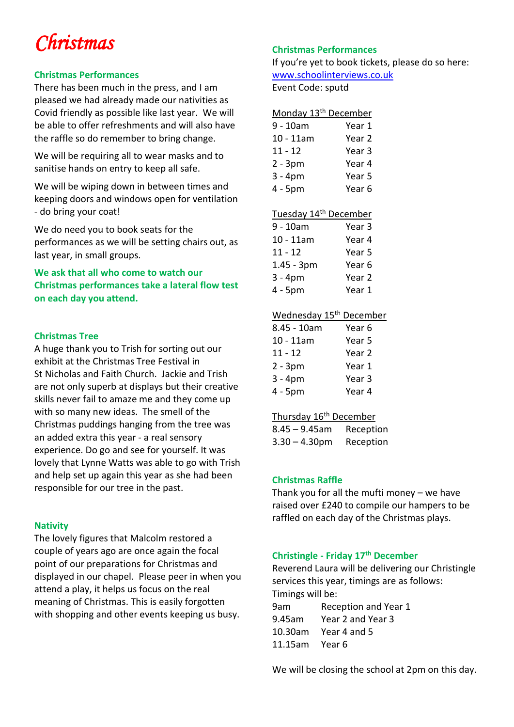# *Christmas*

## **Christmas Performances**

There has been much in the press, and I am pleased we had already made our nativities as Covid friendly as possible like last year. We will be able to offer refreshments and will also have the raffle so do remember to bring change.

We will be requiring all to wear masks and to sanitise hands on entry to keep all safe.

We will be wiping down in between times and keeping doors and windows open for ventilation - do bring your coat!

We do need you to book seats for the performances as we will be setting chairs out, as last year, in small groups.

# **We ask that all who come to watch our Christmas performances take a lateral flow test on each day you attend.**

## **Christmas Tree**

A huge thank you to Trish for sorting out our exhibit at the Christmas Tree Festival in St Nicholas and Faith Church. Jackie and Trish are not only superb at displays but their creative skills never fail to amaze me and they come up with so many new ideas. The smell of the Christmas puddings hanging from the tree was an added extra this year - a real sensory experience. Do go and see for yourself. It was lovely that Lynne Watts was able to go with Trish and help set up again this year as she had been responsible for our tree in the past.

## **Nativity**

The lovely figures that Malcolm restored a couple of years ago are once again the focal point of our preparations for Christmas and displayed in our chapel. Please peer in when you attend a play, it helps us focus on the real meaning of Christmas. This is easily forgotten with shopping and other events keeping us busy.

# **Christmas Performances**

If you're yet to book tickets, please do so here: [www.schoolinterviews.co.uk](http://www.schoolinterviews.co.uk/)

Event Code: sputd

| Monday 13 <sup>th</sup> December |                   |
|----------------------------------|-------------------|
| $9 - 10am$                       | Year 1            |
| $10 - 11$ am                     | Year <sub>2</sub> |
| $11 - 12$                        | Year <sub>3</sub> |
| $2 - 3pm$                        | Year 4            |
| $3 - 4pm$                        | Year 5            |
| 4 - 5pm                          | Year <sub>6</sub> |

# Tuesday 14<sup>th</sup> December

| 9 - 10am     | Year 3            |
|--------------|-------------------|
| $10 - 11$ am | Year 4            |
| $11 - 12$    | Year 5            |
| $1.45 - 3pm$ | Year 6            |
| $3 - 4pm$    | Year <sub>2</sub> |
| 4 - 5pm      | Year 1            |

### Wednesday 15<sup>th</sup> December

| 8.45 - 10am  | Year 6 |
|--------------|--------|
| $10 - 11$ am | Year 5 |
| $11 - 12$    | Year 2 |
| $2 - 3pm$    | Year 1 |
| $3 - 4pm$    | Year 3 |
| 4 - 5pm      | Year 4 |

## Thursday 16<sup>th</sup> December

| $8.45 - 9.45$ am | Reception |
|------------------|-----------|
| $3.30 - 4.30$ pm | Reception |

## **Christmas Raffle**

Thank you for all the mufti money – we have raised over £240 to compile our hampers to be raffled on each day of the Christmas plays.

## **Christingle - Friday 17th December**

Reverend Laura will be delivering our Christingle services this year, timings are as follows: Timings will be:

| 9am            | Reception and Year 1 |
|----------------|----------------------|
| 9.45am         | Year 2 and Year 3    |
| 10.30am        | Year 4 and 5         |
| 11.15am Year 6 |                      |

We will be closing the school at 2pm on this day.